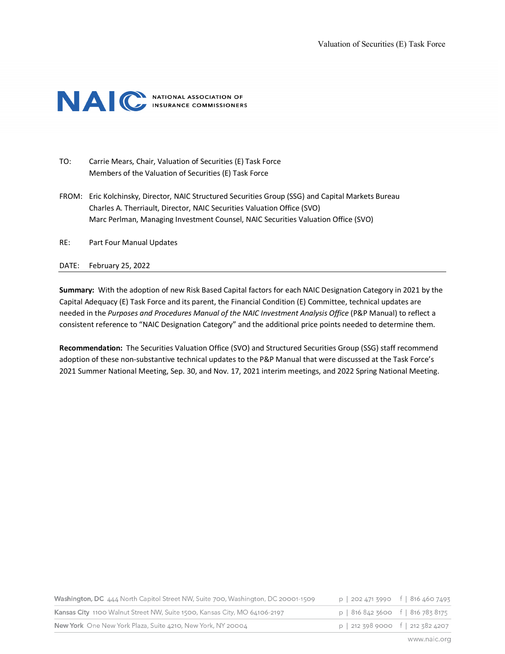

- TO: Carrie Mears, Chair, Valuation of Securities (E) Task Force Members of the Valuation of Securities (E) Task Force
- FROM: Eric Kolchinsky, Director, NAIC Structured Securities Group (SSG) and Capital Markets Bureau Charles A. Therriault, Director, NAIC Securities Valuation Office (SVO) Marc Perlman, Managing Investment Counsel, NAIC Securities Valuation Office (SVO)
- RE: Part Four Manual Updates

### DATE: February 25, 2022

**Summary:** With the adoption of new Risk Based Capital factors for each NAIC Designation Category in 2021 by the Capital Adequacy (E) Task Force and its parent, the Financial Condition (E) Committee, technical updates are needed in the *Purposes and Procedures Manual of the NAIC Investment Analysis Office* (P&P Manual) to reflect a consistent reference to "NAIC Designation Category" and the additional price points needed to determine them.

**Recommendation:** The Securities Valuation Office (SVO) and Structured Securities Group (SSG) staff recommend adoption of these non-substantive technical updates to the P&P Manual that were discussed at the Task Force's 2021 Summer National Meeting, Sep. 30, and Nov. 17, 2021 interim meetings, and 2022 Spring National Meeting.

| New York One New York Plaza, Suite 4210, New York, NY 20004<br>p   212 398 9000 f   212 382 4207 |  |
|--------------------------------------------------------------------------------------------------|--|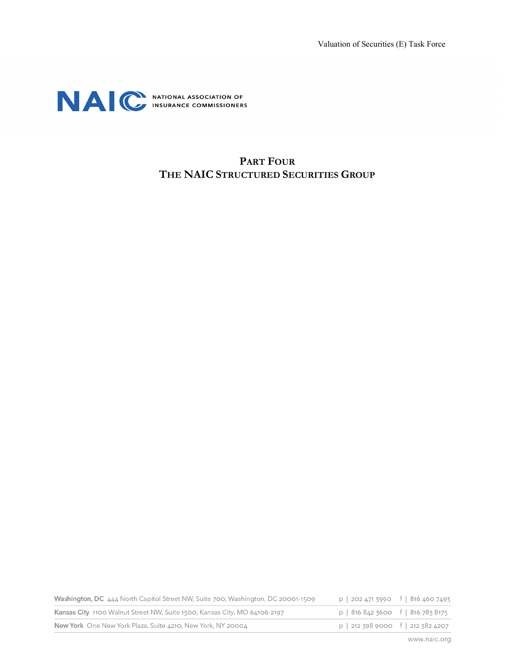

## **PART FOUR THE NAIC STRUCTURED SECURITIES GROUP**

| Washington, DC 444 North Capitol Street NW, Suite 700, Washington, DC 20001-1509 | $p$   202 471 3990 f   816 460 7493                 |  |
|----------------------------------------------------------------------------------|-----------------------------------------------------|--|
| Kansas City 1100 Walnut Street NW, Suite 1500, Kansas City, MO 64106-2197        | p   816 842 3600 f   816 783 8175                   |  |
| New York One New York Plaza, Suite 4210, New York, NY 20004                      | $p \mid 212\,398\,9000 \quad f \mid 212\,382\,4207$ |  |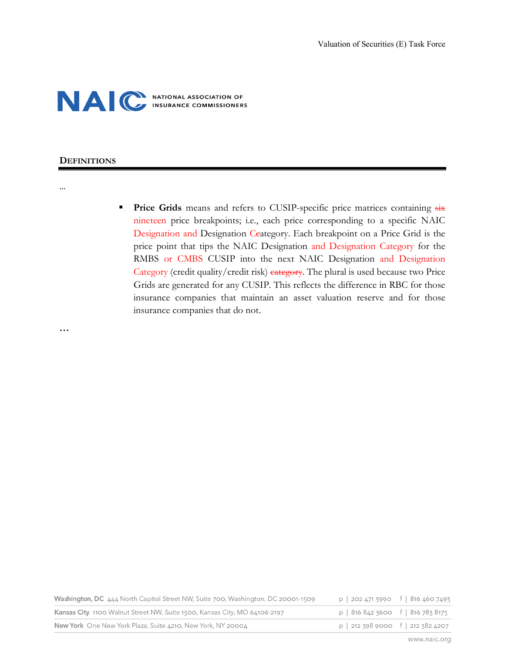

### **DEFINITIONS**

### …

**Price Grids** means and refers to CUSIP-specific price matrices containing  $\frac{1}{12}$ nineteen price breakpoints; i.e., each price corresponding to a specific NAIC Designation and Designation Ceategory. Each breakpoint on a Price Grid is the price point that tips the NAIC Designation and Designation Category for the RMBS or CMBS CUSIP into the next NAIC Designation and Designation Category (credit quality/credit risk) eategory. The plural is used because two Price Grids are generated for any CUSIP. This reflects the difference in RBC for those insurance companies that maintain an asset valuation reserve and for those insurance companies that do not.

**…**

| Washington, DC 444 North Capitol Street NW, Suite 700, Washington, DC 20001-1509 | $p$   202 471 3990 f   816 460 7493                 |  |
|----------------------------------------------------------------------------------|-----------------------------------------------------|--|
| Kansas City 1100 Walnut Street NW, Suite 1500, Kansas City, MO 64106-2197        | p   816 842 3600 f   816 783 8175                   |  |
| New York One New York Plaza, Suite 4210, New York, NY 20004                      | $p \mid 212\,398\,9000 \quad f \mid 212\,382\,4207$ |  |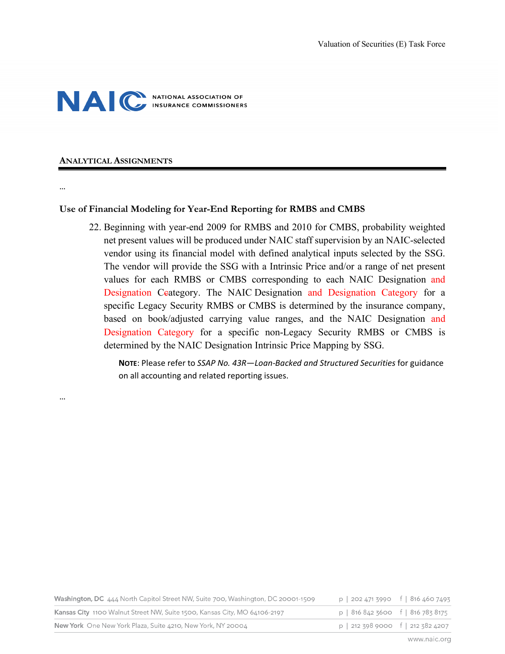

### **ANALYTICAL ASSIGNMENTS**

### …

…

## **Use of Financial Modeling for Year-End Reporting for RMBS and CMBS**

22. Beginning with year-end 2009 for RMBS and 2010 for CMBS, probability weighted net present values will be produced under NAIC staff supervision by an NAIC-selected vendor using its financial model with defined analytical inputs selected by the SSG. The vendor will provide the SSG with a Intrinsic Price and/or a range of net present values for each RMBS or CMBS corresponding to each NAIC Designation and Designation Ceategory. The NAIC Designation and Designation Category for a specific Legacy Security RMBS or CMBS is determined by the insurance company, based on book/adjusted carrying value ranges, and the NAIC Designation and Designation Category for a specific non-Legacy Security RMBS or CMBS is determined by the NAIC Designation Intrinsic Price Mapping by SSG.

**NOTE**: Please refer to *SSAP No. 43R—Loan-Backed and Structured Securities* for guidance on all accounting and related reporting issues.

| Washington, DC 444 North Capitol Street NW, Suite 700, Washington, DC 20001-1509 | p   202 471 3990 f   816 460 7493 |  |
|----------------------------------------------------------------------------------|-----------------------------------|--|
| Kansas City 1100 Walnut Street NW, Suite 1500, Kansas City, MO 64106-2197        | p   816 842 3600 f   816 783 8175 |  |
| New York One New York Plaza, Suite 4210, New York, NY 20004                      | p   212 398 9000 f   212 382 4207 |  |
|                                                                                  |                                   |  |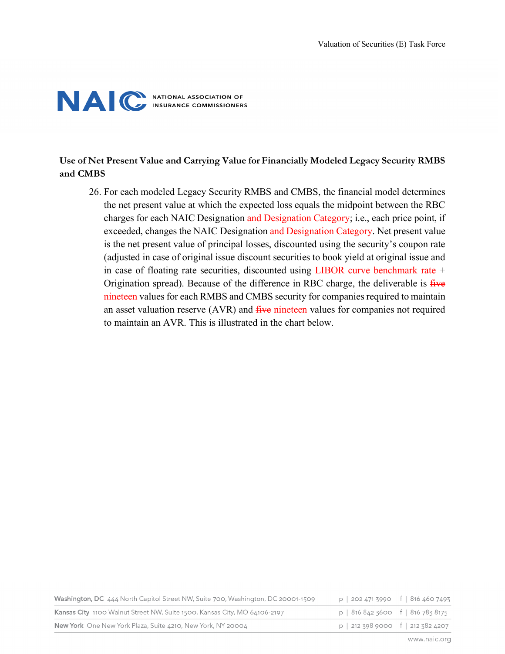# NAC NATIONAL ASSOCIATION OF

## **Use of Net Present Value and Carrying Value for Financially Modeled Legacy Security RMBS and CMBS**

26. For each modeled Legacy Security RMBS and CMBS, the financial model determines the net present value at which the expected loss equals the midpoint between the RBC charges for each NAIC Designation and Designation Category; i.e., each price point, if exceeded, changes the NAIC Designation and Designation Category. Net present value is the net present value of principal losses, discounted using the security's coupon rate (adjusted in case of original issue discount securities to book yield at original issue and in case of floating rate securities, discounted using LIBOR curve benchmark rate + Origination spread). Because of the difference in RBC charge, the deliverable is five nineteen values for each RMBS and CMBS security for companies required to maintain an asset valuation reserve (AVR) and five nineteen values for companies not required to maintain an AVR. This is illustrated in the chart below.

| Washington, DC 444 North Capitol Street NW, Suite 700, Washington, DC 20001-1509 | p   202 471 3990 f   816 460 7493   |  |
|----------------------------------------------------------------------------------|-------------------------------------|--|
| Kansas City 1100 Walnut Street NW, Suite 1500, Kansas City, MO 64106-2197        | $p$   816 842 3600 f   816 783 8175 |  |
| New York One New York Plaza, Suite 4210, New York, NY 20004                      | $p$   212 398 9000 f   212 382 4207 |  |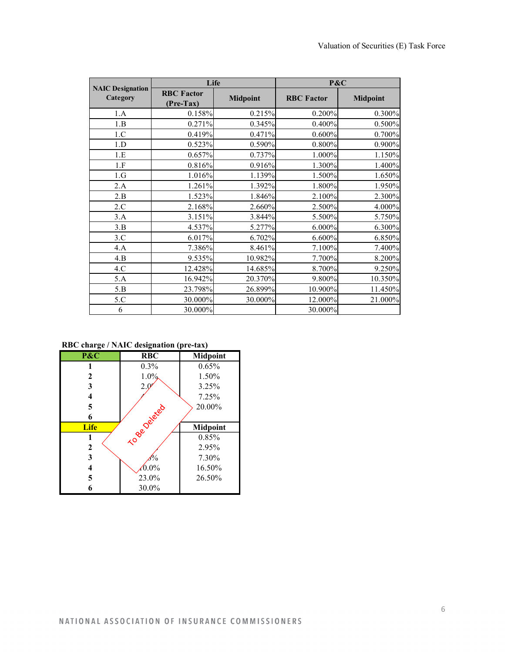|                                     | Life                           |                 | P&C               |                 |
|-------------------------------------|--------------------------------|-----------------|-------------------|-----------------|
| <b>NAIC Designation</b><br>Category | <b>RBC</b> Factor<br>(Pre-Tax) | <b>Midpoint</b> | <b>RBC</b> Factor | <b>Midpoint</b> |
| 1.A                                 | 0.158%                         | 0.215%          | 0.200%            | 0.300%          |
| 1.B                                 | 0.271%                         | 0.345%          | 0.400%            | 0.500%          |
| 1.C                                 | 0.419%                         | 0.471%          | 0.600%            | 0.700%          |
| 1.D                                 | 0.523%                         | 0.590%          | 0.800%            | 0.900%          |
| 1.E                                 | 0.657%                         | 0.737%          | 1.000%            | 1.150%          |
| 1.F                                 | 0.816%                         | 0.916%          | 1.300%            | 1.400%          |
| 1.G                                 | 1.016%                         | 1.139%          | 1.500%            | 1.650%          |
| 2.A                                 | 1.261%                         | 1.392%          | 1.800%            | 1.950%          |
| 2.B                                 | 1.523%                         | 1.846%          | 2.100%            | 2.300%          |
| 2.C                                 | 2.168%                         | 2.660%          | 2.500%            | 4.000%          |
| 3.A                                 | 3.151%                         | 3.844%          | 5.500%            | 5.750%          |
| 3.B                                 | 4.537%                         | 5.277%          | 6.000%            | 6.300%          |
| 3.C                                 | 6.017%                         | 6.702%          | 6.600%            | 6.850%          |
| 4.A                                 | 7.386%                         | 8.461%          | 7.100%            | 7.400%          |
| 4.B                                 | 9.535%                         | 10.982%         | 7.700%            | 8.200%          |
| 4.C                                 | 12.428%                        | 14.685%         | 8.700%            | 9.250%          |
| 5.A                                 | 16.942%                        | 20.370%         | 9.800%            | 10.350%         |
| 5.B                                 | 23.798%                        | 26.899%         | 10.900%           | 11.450%         |
| 5.C                                 | 30.000%                        | 30.000%         | 12.000%           | 21.000%         |
| 6                                   | 30.000%                        |                 | 30.000%           |                 |

**RBC charge / NAIC designation (pre-tax)**

| P&C          | <b>RBC</b>    | <b>Midpoint</b> |
|--------------|---------------|-----------------|
|              | 0.3%          | 0.65%           |
| $\mathbf{2}$ | $1.0\%$       | 1.50%           |
| 3            | 2.0           | 3.25%           |
| 4            |               | 7.25%           |
| 5            |               | 20.00%          |
| 6            |               |                 |
|              |               |                 |
| <b>Life</b>  |               | <b>Midpoint</b> |
| 1            |               | 0.85%           |
| $\mathbf{2}$ | To de Deleted | 2.95%           |
| 3            | 'n            | 7.30%           |
| 4            | $0.0\%$       | 16.50%          |
| 5            | 23.0%         | 26.50%          |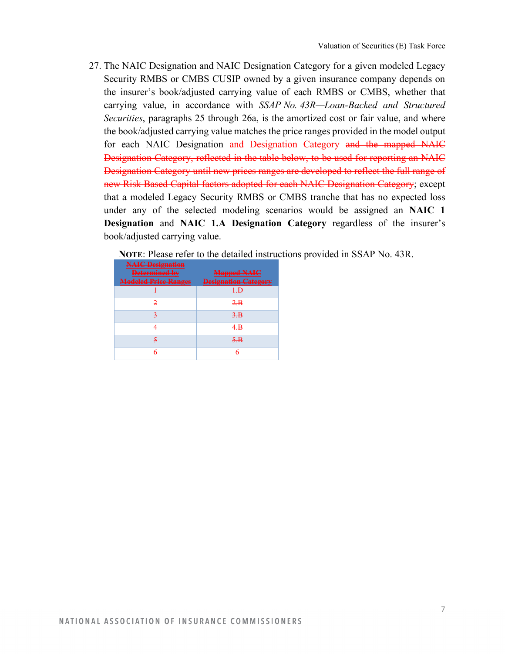27. The NAIC Designation and NAIC Designation Category for a given modeled Legacy Security RMBS or CMBS CUSIP owned by a given insurance company depends on the insurer's book/adjusted carrying value of each RMBS or CMBS, whether that carrying value, in accordance with *SSAP No. 43R—Loan-Backed and Structured Securities*, paragraphs 25 through 26a, is the amortized cost or fair value, and where the book/adjusted carrying value matches the price ranges provided in the model output for each NAIC Designation and Designation Category and the mapped NAIC Designation Category, reflected in the table below, to be used for reporting an NAIC Designation Category until new prices ranges are developed to reflect the full range of new Risk Based Capital factors adopted for each NAIC Designation Category; except that a modeled Legacy Security RMBS or CMBS tranche that has no expected loss under any of the selected modeling scenarios would be assigned an **NAIC 1 Designation** and **NAIC 1.A Designation Category** regardless of the insurer's book/adjusted carrying value.

**NOTE**: Please refer to the detailed instructions provided in SSAP No. 43R.

| <b>NAIC Designation</b><br>Determined by<br><b>Modeled Price Ranges</b> | <b>Mapped NAIC</b><br><b>Designation Category</b> |
|-------------------------------------------------------------------------|---------------------------------------------------|
|                                                                         | $+$ $\overline{D}$                                |
| 2                                                                       | $2-B$                                             |
|                                                                         | 3. B                                              |
|                                                                         | 4.B                                               |
| 5                                                                       | $5 \cdot B$                                       |
| 6                                                                       | 6                                                 |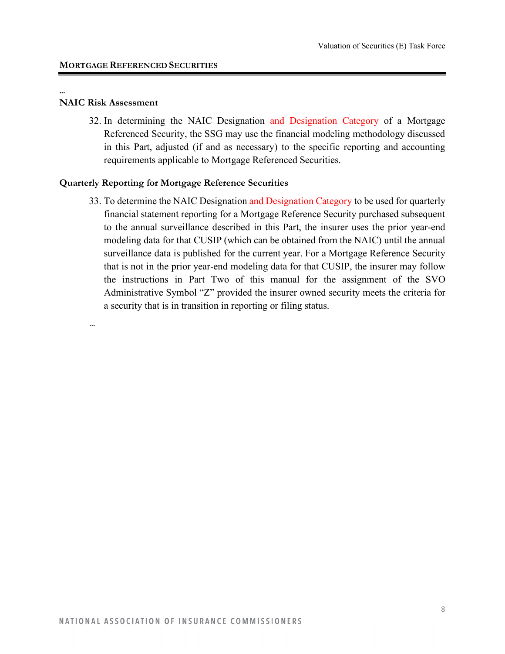### **NAIC Risk Assessment**

…

**…** 

32. In determining the NAIC Designation and Designation Category of a Mortgage Referenced Security, the SSG may use the financial modeling methodology discussed in this Part, adjusted (if and as necessary) to the specific reporting and accounting requirements applicable to Mortgage Referenced Securities.

## **Quarterly Reporting for Mortgage Reference Securities**

33. To determine the NAIC Designation and Designation Category to be used for quarterly financial statement reporting for a Mortgage Reference Security purchased subsequent to the annual surveillance described in this Part, the insurer uses the prior year-end modeling data for that CUSIP (which can be obtained from the NAIC) until the annual surveillance data is published for the current year. For a Mortgage Reference Security that is not in the prior year-end modeling data for that CUSIP, the insurer may follow the instructions in Part Two of this manual for the assignment of the SVO Administrative Symbol "Z" provided the insurer owned security meets the criteria for a security that is in transition in reporting or filing status.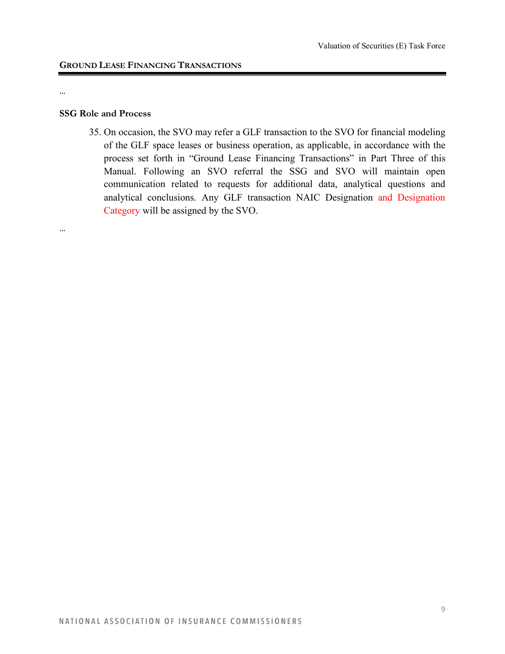#### …

…

### **SSG Role and Process**

35. On occasion, the SVO may refer a GLF transaction to the SVO for financial modeling of the GLF space leases or business operation, as applicable, in accordance with the process set forth in "Ground Lease Financing Transactions" in Part Three of this Manual. Following an SVO referral the SSG and SVO will maintain open communication related to requests for additional data, analytical questions and analytical conclusions. Any GLF transaction NAIC Designation and Designation Category will be assigned by the SVO.